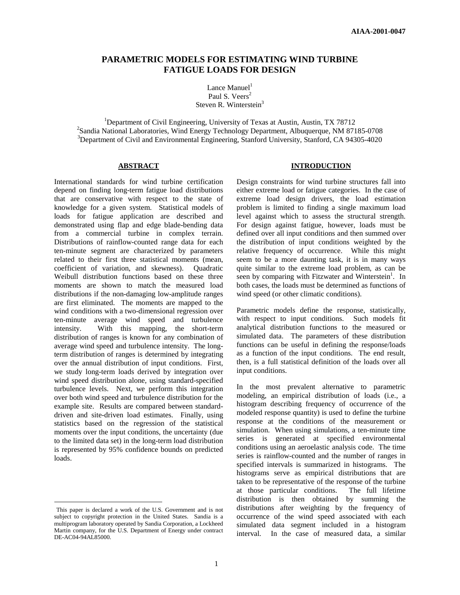# **PARAMETRIC MODELS FOR ESTIMATING WIND TURBINE FATIGUE LOADS FOR DESIGN**

Lance Manuel<sup>1</sup> Paul S. Veers<sup>2</sup> Steven R. Winterstein<sup>3</sup>

<sup>1</sup>Department of Civil Engineering, University of Texas at Austin, Austin, TX 78712 <sup>2</sup>Sandia National Laboratories, Wind Energy Technology Department, Albuquerque, NM 87185-0708 <sup>3</sup>Department of Civil and Environmental Engineering, Stanford University, Stanford, CA 94305-4020

### **ABSTRACT**

International standards for wind turbine certification depend on finding long-term fatigue load distributions that are conservative with respect to the state of knowledge for a given system. Statistical models of loads for fatigue application are described and demonstrated using flap and edge blade-bending data from a commercial turbine in complex terrain. Distributions of rainflow-counted range data for each ten-minute segment are characterized by parameters related to their first three statistical moments (mean, coefficient of variation, and skewness). Quadratic Weibull distribution functions based on these three moments are shown to match the measured load distributions if the non-damaging low-amplitude ranges are first eliminated. The moments are mapped to the wind conditions with a two-dimensional regression over ten-minute average wind speed and turbulence intensity. With this mapping, the short-term distribution of ranges is known for any combination of average wind speed and turbulence intensity. The longterm distribution of ranges is determined by integrating over the annual distribution of input conditions. First, we study long-term loads derived by integration over wind speed distribution alone, using standard-specified turbulence levels. Next, we perform this integration over both wind speed and turbulence distribution for the example site. Results are compared between standarddriven and site-driven load estimates. Finally, using statistics based on the regression of the statistical moments over the input conditions, the uncertainty (due to the limited data set) in the long-term load distribution is represented by 95% confidence bounds on predicted loads.

 $\overline{a}$ 

### **INTRODUCTION**

Design constraints for wind turbine structures fall into either extreme load or fatigue categories. In the case of extreme load design drivers, the load estimation problem is limited to finding a single maximum load level against which to assess the structural strength. For design against fatigue, however, loads must be defined over all input conditions and then summed over the distribution of input conditions weighted by the relative frequency of occurrence. While this might seem to be a more daunting task, it is in many ways quite similar to the extreme load problem, as can be seen by comparing with Fitzwater and Winterstein<sup>1</sup>. In both cases, the loads must be determined as functions of wind speed (or other climatic conditions).

Parametric models define the response, statistically, with respect to input conditions. Such models fit analytical distribution functions to the measured or simulated data. The parameters of these distribution functions can be useful in defining the response/loads as a function of the input conditions. The end result, then, is a full statistical definition of the loads over all input conditions.

In the most prevalent alternative to parametric modeling, an empirical distribution of loads (i.e., a histogram describing frequency of occurrence of the modeled response quantity) is used to define the turbine response at the conditions of the measurement or simulation. When using simulations, a ten-minute time series is generated at specified environmental conditions using an aeroelastic analysis code. The time series is rainflow-counted and the number of ranges in specified intervals is summarized in histograms. The histograms serve as empirical distributions that are taken to be representative of the response of the turbine at those particular conditions. The full lifetime distribution is then obtained by summing the distributions after weighting by the frequency of occurrence of the wind speed associated with each simulated data segment included in a histogram interval. In the case of measured data, a similar

This paper is declared a work of the U.S. Government and is not subject to copyright protection in the United States. Sandia is a multiprogram laboratory operated by Sandia Corporation, a Lockheed Martin company, for the U.S. Department of Energy under contract DE-AC04-94AL85000.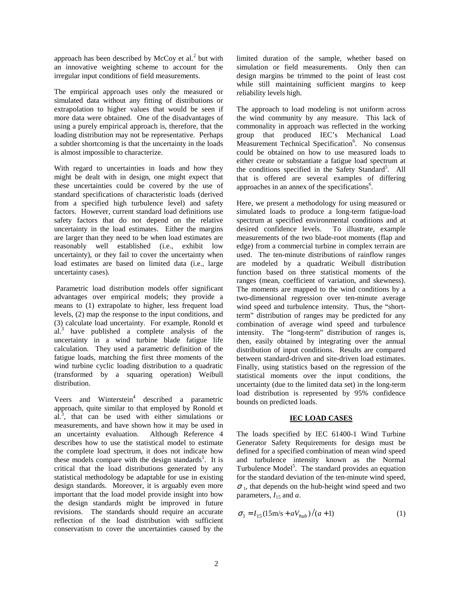approach has been described by McCoy et al. $^{2}$  but with an innovative weighting scheme to account for the irregular input conditions of field measurements.

The empirical approach uses only the measured or simulated data without any fitting of distributions or extrapolation to higher values that would be seen if more data were obtained. One of the disadvantages of using a purely empirical approach is, therefore, that the loading distribution may not be representative. Perhaps a subtler shortcoming is that the uncertainty in the loads is almost impossible to characterize.

With regard to uncertainties in loads and how they might be dealt with in design, one might expect that these uncertainties could be covered by the use of standard specifications of characteristic loads (derived from a specified high turbulence level) and safety factors. However, current standard load definitions use safety factors that do not depend on the relative uncertainty in the load estimates. Either the margins are larger than they need to be when load estimates are reasonably well established (i.e., exhibit low uncertainty), or they fail to cover the uncertainty when load estimates are based on limited data (i.e., large uncertainty cases).

Parametric load distribution models offer significant advantages over empirical models; they provide a means to (1) extrapolate to higher, less frequent load levels, (2) map the response to the input conditions, and (3) calculate load uncertainty. For example, Ronold et al.<sup>3</sup> have published a complete analysis of the uncertainty in a wind turbine blade fatigue life calculation. They used a parametric definition of the fatigue loads, matching the first three moments of the wind turbine cyclic loading distribution to a quadratic (transformed by a squaring operation) Weibull distribution.

Veers and Winterstein 4 described a parametric approach, quite similar to that employed by Ronold et al.<sup>3</sup>, that can be used with either simulations or measurements, and have shown how it may be used in an uncertainty evaluation. Although Reference 4 describes how to use the statistical model to estimate the complete load spectrum, it does not indicate how these models compare with the design standards<sup>5</sup>. It is critical that the load distributions generated by any statistical methodology be adaptable for use in existing design standards. Moreover, it is arguably even more important that the load model provide insight into how the design standards might be improved in future revisions. The standards should require an accurate reflection of the load distribution with sufficient conservatism to cover the uncertainties caused by the

limited duration of the sample, whether based on simulation or field measurements. Only then can design margins be trimmed to the point of least cost while still maintaining sufficient margins to keep reliability levels high.

The approach to load modeling is not uniform across the wind community by any measure. This lack of commonality in approach was reflected in the working group that produced IEC's Mechanical Load Measurement Technical Specification<sup>6</sup>. No consensus could be obtained on how to use measured loads to either create or substantiate a fatigue load spectrum at the conditions specified in the Safety Standard<sup>5</sup>. All that is offered are several examples of differing approaches in an annex of the specifications<sup>6</sup>.

Here, we present a methodology for using measured or simulated loads to produce a long-term fatigue-load spectrum at specified environmental conditions and at desired confidence levels. To illustrate, example desired confidence levels. measurements of the two blade-root moments (flap and edge) from a commercial turbine in complex terrain are used. The ten-minute distributions of rainflow ranges are modeled by a quadratic Weibull distribution function based on three statistical moments of the ranges (mean, coefficient of variation, and skewness). The moments are mapped to the wind conditions by a two-dimensional regression over ten-minute average wind speed and turbulence intensity. Thus, the "shortterm" distribution of ranges may be predicted for any combination of average wind speed and turbulence intensity. The "long-term" distribution of ranges is, then, easily obtained by integrating over the annual distribution of input conditions. Results are compared between standard-driven and site-driven load estimates. Finally, using statistics based on the regression of the statistical moments over the input conditions, the uncertainty (due to the limited data set) in the long-term load distribution is represented by 95% confidence bounds on predicted loads.

### **IEC LOAD CASES**

The loads specified by IEC 61400-1 Wind Turbine Generator Safety Requirements for design must be defined for a specified combination of mean wind speed and turbulence intensity known as the Normal Turbulence Model<sup>5</sup>. The standard provides an equation for the standard deviation of the ten-minute wind speed,  $\sigma_1$ , that depends on the hub-height wind speed and two parameters,  $I_{15}$  and  $a$ .

$$
\sigma_1 = I_{15} (15 \text{m/s} + aV_{hub})/(a+1)
$$
 (1)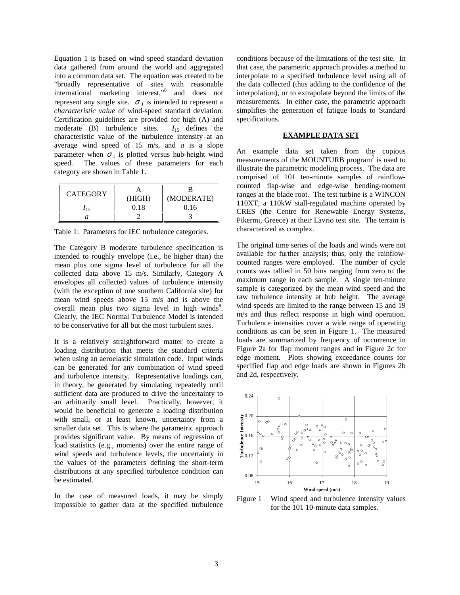Equation 1 is based on wind speed standard deviation data gathered from around the world and aggregated into a common data set. The equation was created to be "broadly representative of sites with reasonable international marketing interest," 8 and does not represent any single site.  $\sigma_1$  is intended to represent a *characteristic value* of wind-speed standard deviation. Certification guidelines are provided for high (A) and moderate (B) turbulence sites.  $I_{15}$  defines the characteristic value of the turbulence intensity at an average wind speed of 15 m/s, and *a* is a slope parameter when  $\sigma_1$  is plotted versus hub-height wind speed. The values of these parameters for each category are shown in Table 1.

| <b>CATEGORY</b> |        |            |  |
|-----------------|--------|------------|--|
|                 | 'HIGH) | (MODERATE) |  |
|                 | 0.18   | 0.16       |  |
|                 |        |            |  |

Table 1: Parameters for IEC turbulence categories.

The Category B moderate turbulence specification is intended to roughly envelope (i.e., be higher than) the mean plus one sigma level of turbulence for all the collected data above 15 m/s. Similarly, Category A envelopes all collected values of turbulence intensity (with the exception of one southern California site) for mean wind speeds above 15 m/s and is above the overall mean plus two sigma level in high winds<sup>8</sup>. Clearly, the IEC Normal Turbulence Model is intended to be conservative for all but the most turbulent sites.

It is a relatively straightforward matter to create a loading distribution that meets the standard criteria when using an aeroelastic simulation code. Input winds can be generated for any combination of wind speed and turbulence intensity. Representative loadings can, in theory, be generated by simulating repeatedly until sufficient data are produced to drive the uncertainty to an arbitrarily small level. Practically, however, it would be beneficial to generate a loading distribution with small, or at least known, uncertainty from a smaller data set. This is where the parametric approach provides significant value. By means of regression of load statistics (e.g., moments) over the entire range of wind speeds and turbulence levels, the uncertainty in the values of the parameters defining the short-term distributions at any specified turbulence condition can be estimated.

In the case of measured loads, it may be simply impossible to gather data at the specified turbulence

conditions because of the limitations of the test site. In that case, the parametric approach provides a method to interpolate to a specified turbulence level using all of the data collected (thus adding to the confidence of the interpolation), or to extrapolate beyond the limits of the measurements. In either case, the parametric approach simplifies the generation of fatigue loads to Standard specifications.

## **EXAMPLE DATA SET**

An example data set taken from the copious measurements of the MOUNTURB program<sup>7</sup> is used to illustrate the parametric modeling process. The data are comprised of 101 ten-minute samples of rainflowcounted flap-wise and edge-wise bending-moment ranges at the blade root. The test turbine is a WINCON 110XT, a 110kW stall-regulated machine operated by CRES (the Centre for Renewable Energy Systems, Pikermi, Greece) at their Lavrio test site. The terrain is characterized as complex.

The original time series of the loads and winds were not available for further analysis; thus, only the rainflowcounted ranges were employed. The number of cycle counts was tallied in 50 bins ranging from zero to the maximum range in each sample. A single ten-minute sample is categorized by the mean wind speed and the raw turbulence intensity at hub height. The average wind speeds are limited to the range between 15 and 19 m/s and thus reflect response in high wind operation. Turbulence intensities cover a wide range of operating conditions as can be seen in Figure 1. The measured loads are summarized by frequency of occurrence in Figure 2a for flap moment ranges and in Figure 2c for edge moment. Plots showing exceedance counts for specified flap and edge loads are shown in Figures 2b and 2d, respectively.



Figure 1 Wind speed and turbulence intensity values for the 101 10-minute data samples.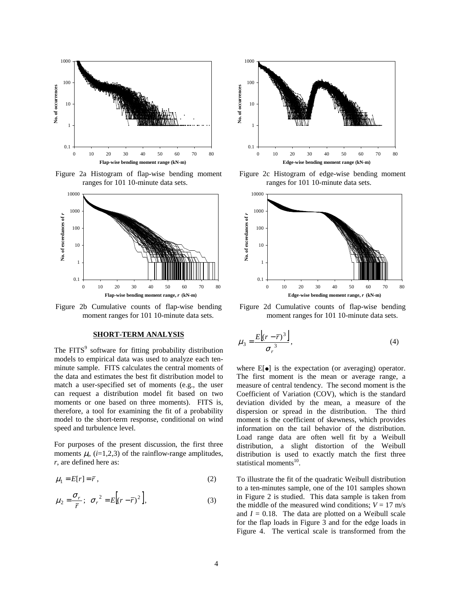

Figure 2a Histogram of flap-wise bending moment ranges for 101 10-minute data sets.



Figure 2b Cumulative counts of flap-wise bending moment ranges for 101 10-minute data sets.

### **SHORT-TERM ANALYSIS**

The FITS<sup>9</sup> software for fitting probability distribution models to empirical data was used to analyze each tenminute sample. FITS calculates the central moments of the data and estimates the best fit distribution model to match a user-specified set of moments (e.g., the user can request a distribution model fit based on two moments or one based on three moments). FITS is, therefore, a tool for examining the fit of a probability model to the short-term response, conditional on wind speed and turbulence level.

For purposes of the present discussion, the first three moments  $\mu_i$ ,  $(i=1,2,3)$  of the rainflow-range amplitudes, *r*, are defined here as:

$$
\mu_1 = E[r] = \overline{r},\tag{2}
$$

$$
\mu_2 = \frac{\sigma_r}{\overline{r}}; \quad \sigma_r^2 = E\Big[(r - \overline{r})^2\Big],\tag{3}
$$



Figure 2c Histogram of edge-wise bending moment ranges for 101 10-minute data sets.



Figure 2d Cumulative counts of flap-wise bending moment ranges for 101 10-minute data sets.

$$
\mu_3 = \frac{E\left[(r - \overline{r})^3\right]}{\sigma_r^3},\tag{4}
$$

where  $E[\bullet]$  is the expectation (or averaging) operator. The first moment is the mean or average range, a measure of central tendency. The second moment is the Coefficient of Variation (COV), which is the standard deviation divided by the mean, a measure of the dispersion or spread in the distribution. The third moment is the coefficient of skewness, which provides information on the tail behavior of the distribution. Load range data are often well fit by a Weibull distribution, a slight distortion of the Weibull distribution is used to exactly match the first three statistical moments<sup>10</sup>.

To illustrate the fit of the quadratic Weibull distribution to a ten-minutes sample, one of the 101 samples shown in Figure 2 is studied. This data sample is taken from the middle of the measured wind conditions;  $V = 17$  m/s and  $I = 0.18$ . The data are plotted on a Weibull scale for the flap loads in Figure 3 and for the edge loads in Figure 4. The vertical scale is transformed from the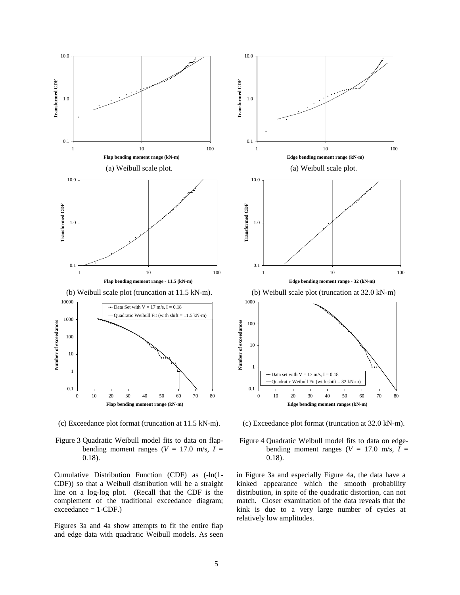

(c) Exceedance plot format (truncation at 11.5 kN-m).

Figure 3 Quadratic Weibull model fits to data on flapbending moment ranges ( $V = 17.0$  m/s,  $I =$ 0.18).

Cumulative Distribution Function (CDF) as (-ln(1- CDF)) so that a Weibull distribution will be a straight line on a log-log plot. (Recall that the CDF is the complement of the traditional exceedance diagram;  $exceedance = 1-CDF.$ )

Figures 3a and 4a show attempts to fit the entire flap and edge data with quadratic Weibull models. As seen



(c) Exceedance plot format (truncation at 32.0 kN-m).

Figure 4 Quadratic Weibull model fits to data on edgebending moment ranges ( $V = 17.0$  m/s,  $I =$ 0.18).

in Figure 3a and especially Figure 4a, the data have a kinked appearance which the smooth probability distribution, in spite of the quadratic distortion, can not match. Closer examination of the data reveals that the kink is due to a very large number of cycles at relatively low amplitudes.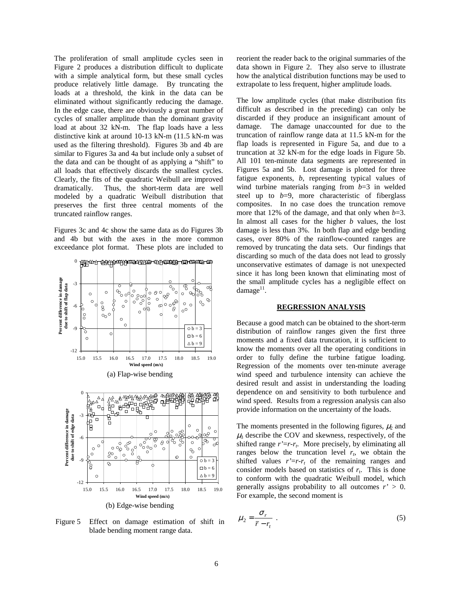The proliferation of small amplitude cycles seen in Figure 2 produces a distribution difficult to duplicate with a simple analytical form, but these small cycles produce relatively little damage. By truncating the loads at a threshold, the kink in the data can be eliminated without significantly reducing the damage. In the edge case, there are obviously a great number of cycles of smaller amplitude than the dominant gravity load at about 32 kN-m. The flap loads have a less distinctive kink at around 10-13 kN-m (11.5 kN-m was used as the filtering threshold). Figures 3b and 4b are similar to Figures 3a and 4a but include only a subset of the data and can be thought of as applying a "shift" to all loads that effectively discards the smallest cycles. Clearly, the fits of the quadratic Weibull are improved dramatically. Thus, the short-term data are well modeled by a quadratic Weibull distribution that preserves the first three central moments of the truncated rainflow ranges.

Figures 3c and 4c show the same data as do Figures 3b and 4b but with the axes in the more common exceedance plot format. These plots are included to



Figure 5 Effect on damage estimation of shift in blade bending moment range data.

reorient the reader back to the original summaries of the data shown in Figure 2. They also serve to illustrate how the analytical distribution functions may be used to extrapolate to less frequent, higher amplitude loads.

The low amplitude cycles (that make distribution fits difficult as described in the preceding) can only be discarded if they produce an insignificant amount of damage. The damage unaccounted for due to the truncation of rainflow range data at 11.5 kN-m for the flap loads is represented in Figure 5a, and due to a truncation at 32 kN-m for the edge loads in Figure 5b. All 101 ten-minute data segments are represented in Figures 5a and 5b. Lost damage is plotted for three fatigue exponents, *b*, representing typical values of wind turbine materials ranging from *b*=3 in welded steel up to  $b=9$ , more characteristic of fiberglass composites. In no case does the truncation remove more that 12% of the damage, and that only when *b*=3. In almost all cases for the higher *b* values, the lost damage is less than 3%. In both flap and edge bending cases, over 80% of the rainflow-counted ranges are removed by truncating the data sets. Our findings that discarding so much of the data does not lead to grossly unconservative estimates of damage is not unexpected since it has long been known that eliminating most of the small amplitude cycles has a negligible effect on damage<sup>11</sup>.

#### **REGRESSION ANALYSIS**

Because a good match can be obtained to the short-term distribution of rainflow ranges given the first three moments and a fixed data truncation, it is sufficient to know the moments over all the operating conditions in order to fully define the turbine fatigue loading. Regression of the moments over ten-minute average wind speed and turbulence intensity can achieve the desired result and assist in understanding the loading dependence on and sensitivity to both turbulence and wind speed. Results from a regression analysis can also provide information on the uncertainty of the loads.

The moments presented in the following figures,  $\mu_2$  and  $\mu_3$  describe the COV and skewness, respectively, of the shifted range *r'*=*r-r<sup>t</sup>* . More precisely, by eliminating all ranges below the truncation level  $r_t$ , we obtain the shifted values  $r' = r - r_t$  of the remaining ranges and consider models based on statistics of  $r_t$ . This is done to conform with the quadratic Weibull model, which generally assigns probability to all outcomes  $r' > 0$ . For example, the second moment is

$$
\mu_2 = \frac{\sigma_r}{\overline{r} - r_t} \tag{5}
$$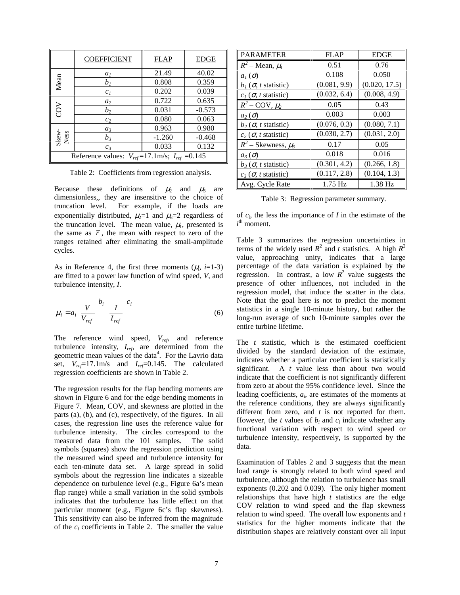|                                                        | <b>COEFFICIENT</b> | <b>FLAP</b> | <b>EDGE</b> |  |
|--------------------------------------------------------|--------------------|-------------|-------------|--|
| Mean                                                   | a <sub>1</sub>     | 21.49       | 40.02       |  |
|                                                        | $b_I$              | 0.808       | 0.359       |  |
|                                                        | c <sub>I</sub>     | 0.202       | 0.039       |  |
| SON                                                    | a <sub>2</sub>     | 0.722       | 0.635       |  |
|                                                        | $b_2$              | 0.031       | $-0.573$    |  |
|                                                        | c <sub>2</sub>     | 0.080       | 0.063       |  |
| Skew-<br>Ness                                          | $a_3$              | 0.963       | 0.980       |  |
|                                                        | $b_3$              | $-1.260$    | $-0.468$    |  |
|                                                        | $c_3$              | 0.033       | 0.132       |  |
| Reference values: $V_{ref}$ =17.1m/s; $I_{ref}$ =0.145 |                    |             |             |  |

Table 2: Coefficients from regression analysis.

Because these definitions of  $\mu_2$  and  $\mu_3$  are dimensionless,, they are insensitive to the choice of truncation level. For example, if the loads are exponentially distributed,  $\mu_2=1$  and  $\mu_3=2$  regardless of the truncation level. The mean value,  $\mu_1$ , presented is the same as  $\bar{r}$ , the mean with respect to zero of the ranges retained after eliminating the small-amplitude cycles.

As in Reference 4, the first three moments  $(\mu_i, i=1-3)$ are fitted to a power law function of wind speed, *V*, and turbulence intensity, *I*.

$$
\mu_i = a_i \left(\frac{V}{V_{ref}}\right)^{b_i} \left(\frac{I}{I_{ref}}\right)^{c_i}
$$
\n(6)

The reference wind speed,  $V_{ref}$ , and reference turbulence intensity,  $I_{ref}$ , are determined from the geometric mean values of the data 4 . For the Lavrio data set, *Vref*=17.1m/s and *Iref*=0.145. The calculated regression coefficients are shown in Table 2.

The regression results for the flap bending moments are shown in Figure 6 and for the edge bending moments in Figure 7. Mean, COV, and skewness are plotted in the parts (a), (b), and (c), respectively, of the figures. In all cases, the regression line uses the reference value for turbulence intensity. The circles correspond to the measured data from the 101 samples. The solid symbols (squares) show the regression prediction using the measured wind speed and turbulence intensity for each ten-minute data set. A large spread in solid symbols about the regression line indicates a sizeable dependence on turbulence level (e.g., Figure 6a's mean flap range) while a small variation in the solid symbols indicates that the turbulence has little effect on that particular moment (e.g., Figure 6c's flap skewness). This sensitivity can also be inferred from the magnitude of the  $c_i$  coefficients in Table 2. The smaller the value

| <b>PARAMETER</b>                   | FLAP         | <b>EDGE</b>   |
|------------------------------------|--------------|---------------|
| $R^2$ – Mean, $\mu_l$              | 0.51         | 0.76          |
| $a_l(\sigma)$                      | 0.108        | 0.050         |
| $b_1(\sigma, t \text{ statistic})$ | (0.081, 9.9) | (0.020, 17.5) |
| $c_l$ ( $\sigma$ , t statistic)    | (0.032, 6.4) | (0.008, 4.9)  |
| $R^2$ – COV, $\mu_2$               | 0.05         | 0.43          |
| $a_2(\sigma)$                      | 0.003        | 0.003         |
| $b_2$ ( $\sigma$ , t statistic)    | (0.076, 0.3) | (0.080, 7.1)  |
| $c_2$ ( $\sigma$ , t statistic)    | (0.030, 2.7) | (0.031, 2.0)  |
| $R^2$ – Skewness, $\mu_3$          | 0.17         | 0.05          |
| $a_3(\sigma)$                      | 0.018        | 0.016         |
| $b_3$ ( $\sigma$ , t statistic)    | (0.301, 4.2) | (0.266, 1.8)  |
| $c_3$ ( $\sigma$ , t statistic)    | (0.117, 2.8) | (0.104, 1.3)  |
| Avg. Cycle Rate                    | $1.75$ Hz    | 1.38 Hz       |

Table 3: Regression parameter summary.

of *c*<sup>i</sup> , the less the importance of *I* in the estimate of the  $i<sup>th</sup>$  moment.

Table 3 summarizes the regression uncertainties in terms of the widely used  $R^2$  and *t* statistics. A high  $R^2$ value, approaching unity, indicates that a large percentage of the data variation is explained by the regression. In contrast, a low  $R^2$  value suggests the presence of other influences, not included in the regression model, that induce the scatter in the data. Note that the goal here is not to predict the moment statistics in a single 10-minute history, but rather the long-run average of such 10-minute samples over the entire turbine lifetime.

The *t* statistic, which is the estimated coefficient divided by the standard deviation of the estimate, indicates whether a particular coefficient is statistically significant. A *t* value less than about two would indicate that the coefficient is not significantly different from zero at about the 95% confidence level. Since the leading coefficients, *a<sup>i</sup>* , are estimates of the moments at the reference conditions, they are always significantly different from zero, and *t* is not reported for them. However, the *t* values of  $b_i$  and  $c_i$  indicate whether any functional variation with respect to wind speed or turbulence intensity, respectively, is supported by the data.

Examination of Tables 2 and 3 suggests that the mean load range is strongly related to both wind speed and turbulence, although the relation to turbulence has small exponents (0.202 and 0.039). The only higher moment relationships that have high *t* statistics are the edge COV relation to wind speed and the flap skewness relation to wind speed. The overall low exponents and *t* statistics for the higher moments indicate that the distribution shapes are relatively constant over all input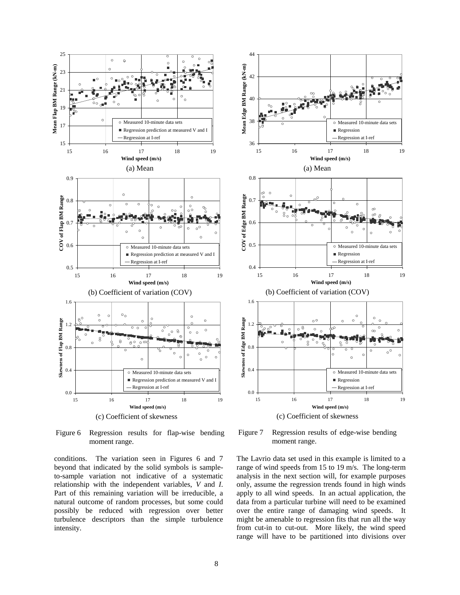

Figure 6 Regression results for flap-wise bending moment range.

conditions. The variation seen in Figures 6 and 7 beyond that indicated by the solid symbols is sampleto-sample variation not indicative of a systematic relationship with the independent variables, *V* and *I*. Part of this remaining variation will be irreducible, a natural outcome of random processes, but some could possibly be reduced with regression over better turbulence descriptors than the simple turbulence intensity.



Figure 7 Regression results of edge-wise bending moment range.

The Lavrio data set used in this example is limited to a range of wind speeds from 15 to 19 m/s. The long-term analysis in the next section will, for example purposes only, assume the regression trends found in high winds apply to all wind speeds. In an actual application, the data from a particular turbine will need to be examined over the entire range of damaging wind speeds. It might be amenable to regression fits that run all the way from cut-in to cut-out. More likely, the wind speed range will have to be partitioned into divisions over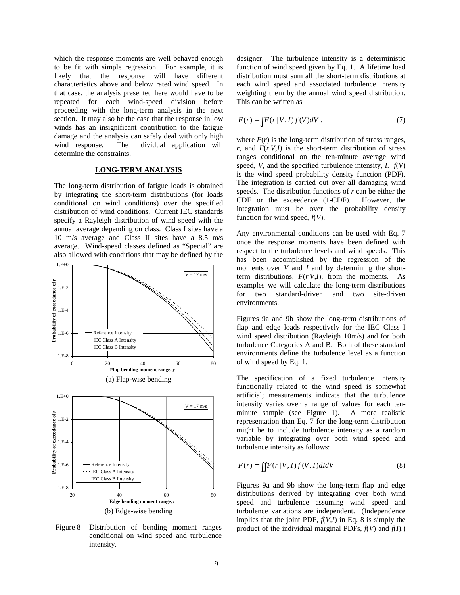which the response moments are well behaved enough to be fit with simple regression. For example, it is likely that the response will have different characteristics above and below rated wind speed. In that case, the analysis presented here would have to be repeated for each wind-speed division before proceeding with the long-term analysis in the next section. It may also be the case that the response in low winds has an insignificant contribution to the fatigue damage and the analysis can safely deal with only high wind response. The individual application will determine the constraints.

## **LONG-TERM ANALYSIS**

The long-term distribution of fatigue loads is obtained by integrating the short-term distributions (for loads conditional on wind conditions) over the specified distribution of wind conditions. Current IEC standards specify a Rayleigh distribution of wind speed with the annual average depending on class. Class I sites have a 10 m/s average and Class II sites have a 8.5 m/s average. Wind-speed classes defined as "Special" are also allowed with conditions that may be defined by the



Figure 8 Distribution of bending moment ranges conditional on wind speed and turbulence intensity.

designer. The turbulence intensity is a deterministic function of wind speed given by Eq. 1. A lifetime load distribution must sum all the short-term distributions at each wind speed and associated turbulence intensity weighting them by the annual wind speed distribution. This can be written as

$$
F(r) = \int F(r|V,I)f(V)dV,
$$
\n(7)

where  $F(r)$  is the long-term distribution of stress ranges,  $r$ , and  $F(r|V,I)$  is the short-term distribution of stress ranges conditional on the ten-minute average wind speed, *V*, and the specified turbulence intensity, *I*.  $f(V)$ is the wind speed probability density function (PDF). The integration is carried out over all damaging wind speeds. The distribution functions of *r* can be either the CDF or the exceedence (1-CDF). However, the integration must be over the probability density function for wind speed, *f*(*V*).

Any environmental conditions can be used with Eq. 7 once the response moments have been defined with respect to the turbulence levels and wind speeds. This has been accomplished by the regression of the moments over *V* and *I* and by determining the shortterm distributions,  $F(r|V,I)$ , from the moments. As examples we will calculate the long-term distributions for two standard-driven and two site-driven environments.

Figures 9a and 9b show the long-term distributions of flap and edge loads respectively for the IEC Class I wind speed distribution (Rayleigh 10m/s) and for both turbulence Categories A and B. Both of these standard environments define the turbulence level as a function of wind speed by Eq. 1.

The specification of a fixed turbulence intensity functionally related to the wind speed is somewhat artificial; measurements indicate that the turbulence intensity varies over a range of values for each tenminute sample (see Figure 1). A more realistic representation than Eq. 7 for the long-term distribution might be to include turbulence intensity as a random variable by integrating over both wind speed and turbulence intensity as follows:

$$
F(r) = \iint F(r|V, I) f(V, I) dl dV
$$
\n(8)

Figures 9a and 9b show the long-term flap and edge distributions derived by integrating over both wind speed and turbulence assuming wind speed and turbulence variations are independent. (Independence implies that the joint PDF,  $f(V,I)$  in Eq. 8 is simply the product of the individual marginal PDFs, *f*(*V*) and *f*(*I*).)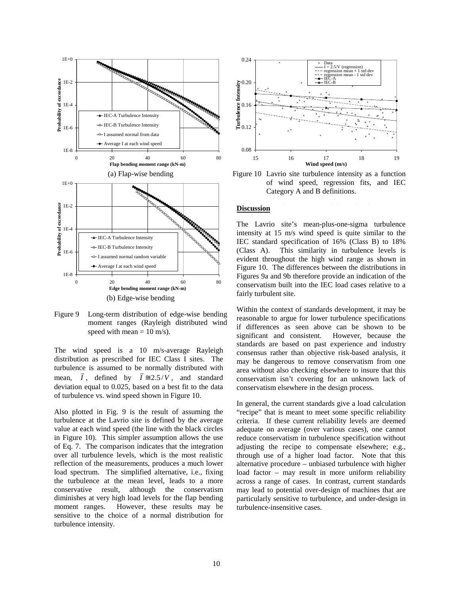

Figure 9 Long-term distribution of edge-wise bending moment ranges (Rayleigh distributed wind speed with mean  $= 10$  m/s).

The wind speed is a 10 m/s-average Rayleigh distribution as prescribed for IEC Class I sites. The turbulence is assumed to be normally distributed with mean,  $\overline{I}$ , defined by  $\overline{I} \cong 2.5/V$ , and standard deviation equal to 0.025, based on a best fit to the data of turbulence vs. wind speed shown in Figure 10.

Also plotted in Fig. 9 is the result of assuming the turbulence at the Lavrio site is defined by the average value at each wind speed (the line with the black circles in Figure 10). This simpler assumption allows the use of Eq. 7. The comparison indicates that the integration over all turbulence levels, which is the most realistic reflection of the measurements, produces a much lower load spectrum. The simplified alternative, i.e., fixing the turbulence at the mean level, leads to a more conservative result, although the conservatism diminishes at very high load levels for the flap bending moment ranges. However, these results may be sensitive to the choice of a normal distribution for turbulence intensity.



Figure 10 Lavrio site turbulence intensity as a function of wind speed, regression fits, and IEC Category A and B definitions.

## **Discussion**

The Lavrio site's mean-plus-one-sigma turbulence intensity at 15 m/s wind speed is quite similar to the IEC standard specification of 16% (Class B) to 18% (Class A). This similarity in turbulence levels is evident throughout the high wind range as shown in Figure 10. The differences between the distributions in Figures 9a and 9b therefore provide an indication of the conservatism built into the IEC load cases relative to a fairly turbulent site.

Within the context of standards development, it may be reasonable to argue for lower turbulence specifications if differences as seen above can be shown to be significant and consistent. However, because the standards are based on past experience and industry consensus rather than objective risk-based analysis, it may be dangerous to remove conservatism from one area without also checking elsewhere to insure that this conservatism isn't covering for an unknown lack of conservatism elsewhere in the design process.

In general, the current standards give a load calculation "recipe" that is meant to meet some specific reliability criteria. If these current reliability levels are deemed adequate on average (over various cases), one cannot reduce conservatism in turbulence specification without adjusting the recipe to compensate elsewhere; e.g., through use of a higher load factor. Note that this alternative procedure – unbiased turbulence with higher load factor – may result in more uniform reliability across a range of cases. In contrast, current standards may lead to potential over-design of machines that are particularly sensitive to turbulence, and under-design in turbulence-insensitive cases.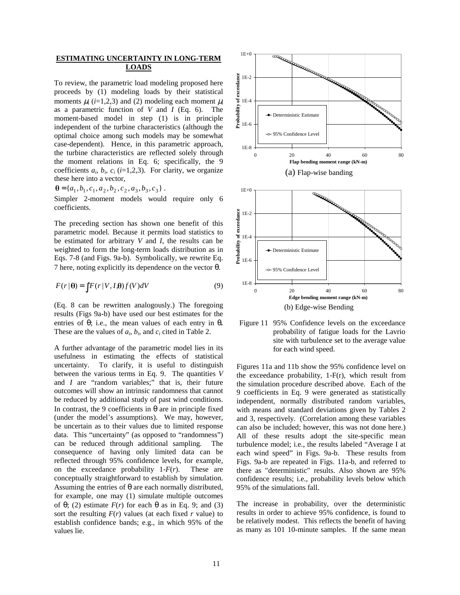## **ESTIMATING UNCERTAINTY IN LONG-TERM LOADS**

To review, the parametric load modeling proposed here proceeds by (1) modeling loads by their statistical moments  $\mu_i$  (*i*=1,2,3) and (2) modeling each moment  $\mu_i$ as a parametric function of *V* and *I* (Eq. 6). The moment-based model in step (1) is in principle independent of the turbine characteristics (although the optimal choice among such models may be somewhat case-dependent). Hence, in this parametric approach, the turbine characteristics are reflected solely through the moment relations in Eq. 6; specifically, the 9 coefficients  $a_i$ ,  $b_i$ ,  $c_i$  (*i*=1,2,3). For clarity, we organize these here into a vector,

 ${\bf \theta} = \{a_1, b_1, c_1, a_2, b_2, c_2, a_3, b_3, c_3\}.$ 

Simpler 2-moment models would require only 6 coefficients.

The preceding section has shown one benefit of this parametric model. Because it permits load statistics to be estimated for arbitrary *V* and *I*, the results can be weighted to form the long-term loads distribution as in Eqs. 7-8 (and Figs. 9a-b). Symbolically, we rewrite Eq. 7 here, noting explicitly its dependence on the vector θ.

$$
F(r | \theta) = \int F(r | V, I, \theta) f(V) dV
$$
\n(9)

(Eq. 8 can be rewritten analogously.) The foregoing results (Figs 9a-b) have used our best estimates for the entries of θ; i.e., the mean values of each entry in θ*.* These are the values of  $a_i$ ,  $b_i$ , and  $c_i$  cited in Table 2.

A further advantage of the parametric model lies in its usefulness in estimating the effects of statistical uncertainty. To clarify, it is useful to distinguish between the various terms in Eq. 9. The quantities *V* and *I* are "random variables;" that is, their future outcomes will show an intrinsic randomness that cannot be reduced by additional study of past wind conditions. In contrast, the 9 coefficients in θ are in principle fixed (under the model's assumptions). We may, however, be uncertain as to their values due to limited response data. This "uncertainty" (as opposed to "randomness") can be reduced through additional sampling. The consequence of having only limited data can be reflected through 95% confidence levels, for example, on the exceedance probability 1-*F*(*r*). These are conceptually straightforward to establish by simulation. Assuming the entries of  $\theta$  are each normally distributed, for example, one may (1) simulate multiple outcomes of  $\theta$ ; (2) estimate  $F(r)$  for each  $\theta$  as in Eq. 9; and (3) sort the resulting  $F(r)$  values (at each fixed *r* value) to establish confidence bands; e.g., in which 95% of the values lie.



Figure 11 95% Confidence levels on the exceedance probability of fatigue loads for the Lavrio site with turbulence set to the average value for each wind speed.

Figures 11a and 11b show the 95% confidence level on the exceedance probability, 1-F(r), which result from the simulation procedure described above. Each of the 9 coefficients in Eq. 9 were generated as statistically independent, normally distributed random variables, with means and standard deviations given by Tables 2 and 3, respectively. (Correlation among these variables can also be included; however, this was not done here.) All of these results adopt the site-specific mean turbulence model; i.e., the results labeled "Average I at each wind speed" in Figs. 9a-b. These results from Figs. 9a-b are repeated in Figs. 11a-b, and referred to there as "deterministic" results. Also shown are 95% confidence results; i.e., probability levels below which 95% of the simulations fall.

The increase in probability, over the deterministic results in order to achieve 95% confidence, is found to be relatively modest. This reflects the benefit of having as many as 101 10-minute samples. If the same mean